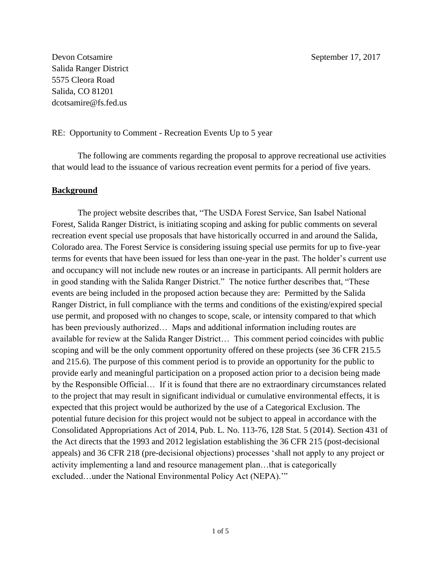Devon Cotsamire September 17, 2017 Salida Ranger District 5575 Cleora Road Salida, CO 81201 dcotsamire@fs.fed.us

#### RE: Opportunity to Comment - Recreation Events Up to 5 year

The following are comments regarding the proposal to approve recreational use activities that would lead to the issuance of various recreation event permits for a period of five years.

### **Background**

The project website describes that, "The USDA Forest Service, San Isabel National Forest, Salida Ranger District, is initiating scoping and asking for public comments on several recreation event special use proposals that have historically occurred in and around the Salida, Colorado area. The Forest Service is considering issuing special use permits for up to five-year terms for events that have been issued for less than one-year in the past. The holder's current use and occupancy will not include new routes or an increase in participants. All permit holders are in good standing with the Salida Ranger District." The notice further describes that, "These events are being included in the proposed action because they are: Permitted by the Salida Ranger District, in full compliance with the terms and conditions of the existing/expired special use permit, and proposed with no changes to scope, scale, or intensity compared to that which has been previously authorized... Maps and additional information including routes are available for review at the Salida Ranger District… This comment period coincides with public scoping and will be the only comment opportunity offered on these projects (see 36 CFR 215.5 and 215.6). The purpose of this comment period is to provide an opportunity for the public to provide early and meaningful participation on a proposed action prior to a decision being made by the Responsible Official… If it is found that there are no extraordinary circumstances related to the project that may result in significant individual or cumulative environmental effects, it is expected that this project would be authorized by the use of a Categorical Exclusion. The potential future decision for this project would not be subject to appeal in accordance with the Consolidated Appropriations Act of 2014, Pub. L. No. 113-76, 128 Stat. 5 (2014). Section 431 of the Act directs that the 1993 and 2012 legislation establishing the 36 CFR 215 (post-decisional appeals) and 36 CFR 218 (pre-decisional objections) processes 'shall not apply to any project or activity implementing a land and resource management plan…that is categorically excluded…under the National Environmental Policy Act (NEPA).'"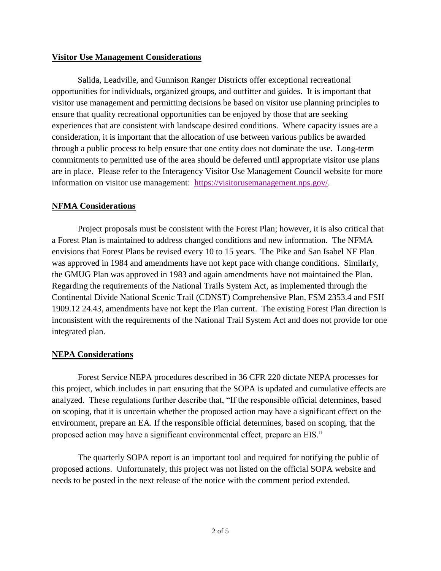### **Visitor Use Management Considerations**

Salida, Leadville, and Gunnison Ranger Districts offer exceptional recreational opportunities for individuals, organized groups, and outfitter and guides. It is important that visitor use management and permitting decisions be based on visitor use planning principles to ensure that quality recreational opportunities can be enjoyed by those that are seeking experiences that are consistent with landscape desired conditions. Where capacity issues are a consideration, it is important that the allocation of use between various publics be awarded through a public process to help ensure that one entity does not dominate the use. Long-term commitments to permitted use of the area should be deferred until appropriate visitor use plans are in place. Please refer to the Interagency Visitor Use Management Council website for more information on visitor use management: [https://visitorusemanagement.nps.gov/.](https://visitorusemanagement.nps.gov/)

### **NFMA Considerations**

Project proposals must be consistent with the Forest Plan; however, it is also critical that a Forest Plan is maintained to address changed conditions and new information. The NFMA envisions that Forest Plans be revised every 10 to 15 years. The Pike and San Isabel NF Plan was approved in 1984 and amendments have not kept pace with change conditions. Similarly, the GMUG Plan was approved in 1983 and again amendments have not maintained the Plan. Regarding the requirements of the National Trails System Act, as implemented through the Continental Divide National Scenic Trail (CDNST) Comprehensive Plan, FSM 2353.4 and FSH 1909.12 24.43, amendments have not kept the Plan current. The existing Forest Plan direction is inconsistent with the requirements of the National Trail System Act and does not provide for one integrated plan.

### **NEPA Considerations**

Forest Service NEPA procedures described in 36 CFR 220 dictate NEPA processes for this project, which includes in part ensuring that the SOPA is updated and cumulative effects are analyzed. These regulations further describe that, "If the responsible official determines, based on scoping, that it is uncertain whether the proposed action may have a significant effect on the environment, prepare an EA. If the responsible official determines, based on scoping, that the proposed action may have a significant environmental effect, prepare an EIS."

The quarterly SOPA report is an important tool and required for notifying the public of proposed actions. Unfortunately, this project was not listed on the official SOPA website and needs to be posted in the next release of the notice with the comment period extended.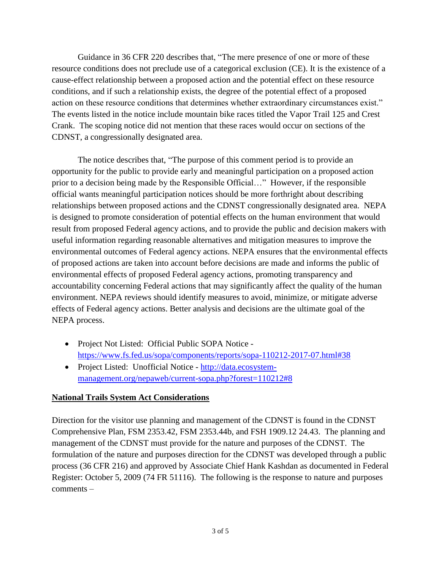Guidance in 36 CFR 220 describes that, "The mere presence of one or more of these resource conditions does not preclude use of a categorical exclusion (CE). It is the existence of a cause-effect relationship between a proposed action and the potential effect on these resource conditions, and if such a relationship exists, the degree of the potential effect of a proposed action on these resource conditions that determines whether extraordinary circumstances exist." The events listed in the notice include mountain bike races titled the Vapor Trail 125 and Crest Crank. The scoping notice did not mention that these races would occur on sections of the CDNST, a congressionally designated area.

The notice describes that, "The purpose of this comment period is to provide an opportunity for the public to provide early and meaningful participation on a proposed action prior to a decision being made by the Responsible Official…" However, if the responsible official wants meaningful participation notices should be more forthright about describing relationships between proposed actions and the CDNST congressionally designated area. NEPA is designed to promote consideration of potential effects on the human environment that would result from proposed Federal agency actions, and to provide the public and decision makers with useful information regarding reasonable alternatives and mitigation measures to improve the environmental outcomes of Federal agency actions. NEPA ensures that the environmental effects of proposed actions are taken into account before decisions are made and informs the public of environmental effects of proposed Federal agency actions, promoting transparency and accountability concerning Federal actions that may significantly affect the quality of the human environment. NEPA reviews should identify measures to avoid, minimize, or mitigate adverse effects of Federal agency actions. Better analysis and decisions are the ultimate goal of the NEPA process.

- Project Not Listed: Official Public SOPA Notice <https://www.fs.fed.us/sopa/components/reports/sopa-110212-2017-07.html#38>
- Project Listed: Unofficial Notice [http://data.ecosystem](http://data.ecosystem-management.org/nepaweb/current-sopa.php?forest=110212#8)[management.org/nepaweb/current-sopa.php?forest=110212#8](http://data.ecosystem-management.org/nepaweb/current-sopa.php?forest=110212#8)

## **National Trails System Act Considerations**

Direction for the visitor use planning and management of the CDNST is found in the CDNST Comprehensive Plan, FSM 2353.42, FSM 2353.44b, and FSH 1909.12 24.43. The planning and management of the CDNST must provide for the nature and purposes of the CDNST. The formulation of the nature and purposes direction for the CDNST was developed through a public process (36 CFR 216) and approved by Associate Chief Hank Kashdan as documented in Federal Register: October 5, 2009 (74 FR 51116). The following is the response to nature and purposes comments –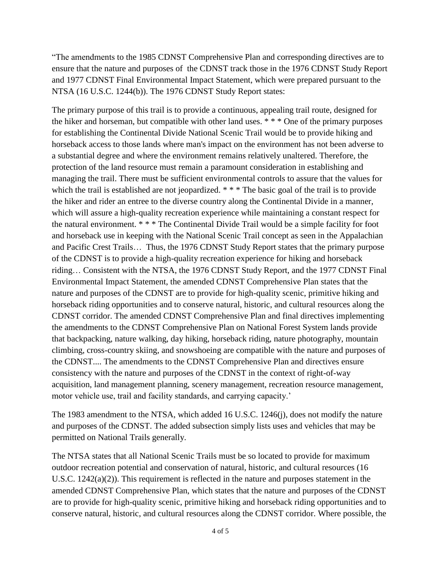"The amendments to the 1985 CDNST Comprehensive Plan and corresponding directives are to ensure that the nature and purposes of the CDNST track those in the 1976 CDNST Study Report and 1977 CDNST Final Environmental Impact Statement, which were prepared pursuant to the NTSA (16 U.S.C. 1244(b)). The 1976 CDNST Study Report states:

The primary purpose of this trail is to provide a continuous, appealing trail route, designed for the hiker and horseman, but compatible with other land uses. \* \* \* One of the primary purposes for establishing the Continental Divide National Scenic Trail would be to provide hiking and horseback access to those lands where man's impact on the environment has not been adverse to a substantial degree and where the environment remains relatively unaltered. Therefore, the protection of the land resource must remain a paramount consideration in establishing and managing the trail. There must be sufficient environmental controls to assure that the values for which the trail is established are not jeopardized. \* \* \* The basic goal of the trail is to provide the hiker and rider an entree to the diverse country along the Continental Divide in a manner, which will assure a high-quality recreation experience while maintaining a constant respect for the natural environment. \* \* \* The Continental Divide Trail would be a simple facility for foot and horseback use in keeping with the National Scenic Trail concept as seen in the Appalachian and Pacific Crest Trails… Thus, the 1976 CDNST Study Report states that the primary purpose of the CDNST is to provide a high-quality recreation experience for hiking and horseback riding… Consistent with the NTSA, the 1976 CDNST Study Report, and the 1977 CDNST Final Environmental Impact Statement, the amended CDNST Comprehensive Plan states that the nature and purposes of the CDNST are to provide for high-quality scenic, primitive hiking and horseback riding opportunities and to conserve natural, historic, and cultural resources along the CDNST corridor. The amended CDNST Comprehensive Plan and final directives implementing the amendments to the CDNST Comprehensive Plan on National Forest System lands provide that backpacking, nature walking, day hiking, horseback riding, nature photography, mountain climbing, cross-country skiing, and snowshoeing are compatible with the nature and purposes of the CDNST.... The amendments to the CDNST Comprehensive Plan and directives ensure consistency with the nature and purposes of the CDNST in the context of right-of-way acquisition, land management planning, scenery management, recreation resource management, motor vehicle use, trail and facility standards, and carrying capacity.'

The 1983 amendment to the NTSA, which added 16 U.S.C. 1246(j), does not modify the nature and purposes of the CDNST. The added subsection simply lists uses and vehicles that may be permitted on National Trails generally.

The NTSA states that all National Scenic Trails must be so located to provide for maximum outdoor recreation potential and conservation of natural, historic, and cultural resources (16 U.S.C.  $1242(a)(2)$ ). This requirement is reflected in the nature and purposes statement in the amended CDNST Comprehensive Plan, which states that the nature and purposes of the CDNST are to provide for high-quality scenic, primitive hiking and horseback riding opportunities and to conserve natural, historic, and cultural resources along the CDNST corridor. Where possible, the